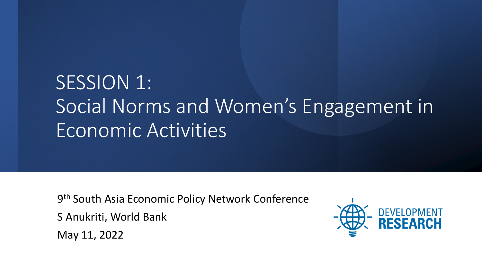# SESSION 1: Social Norms and Women's Engagement in Economic Activities

9<sup>th</sup> South Asia Economic Policy Network Conference

S Anukriti, World Bank

May 11, 2022

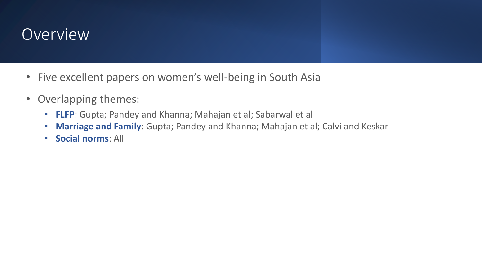#### **Overview**

- Five excellent papers on women's well-being in South Asia
- Overlapping themes:
	- **FLFP**: Gupta; Pandey and Khanna; Mahajan et al; Sabarwal et al
	- **Marriage and Family**: Gupta; Pandey and Khanna; Mahajan et al; Calvi and Keskar
	- **Social norms**: All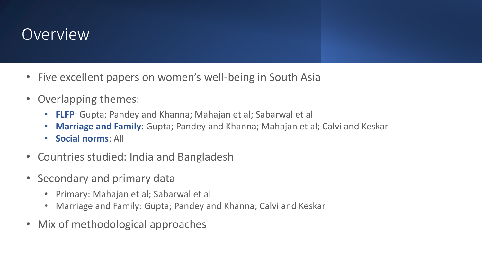#### **Overview**

- Five excellent papers on women's well-being in South Asia
- Overlapping themes:
	- **FLFP**: Gupta; Pandey and Khanna; Mahajan et al; Sabarwal et al
	- **Marriage and Family**: Gupta; Pandey and Khanna; Mahajan et al; Calvi and Keskar
	- **Social norms**: All
- Countries studied: India and Bangladesh
- Secondary and primary data
	- Primary: Mahajan et al; Sabarwal et al
	- Marriage and Family: Gupta; Pandey and Khanna; Calvi and Keskar
- Mix of methodological approaches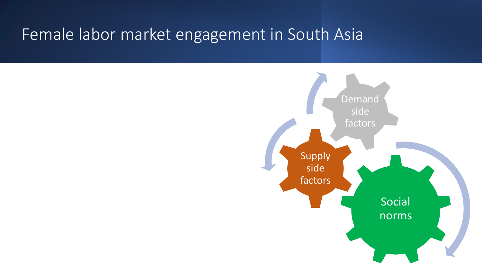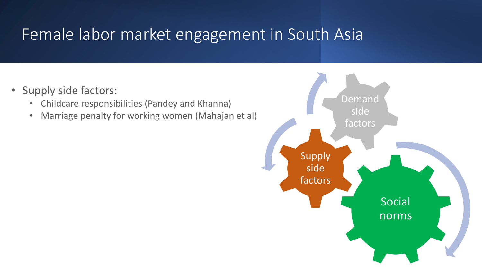- Supply side factors:
	- Childcare responsibilities (Pandey and Khanna)
	- Marriage penalty for working women (Mahajan et al)

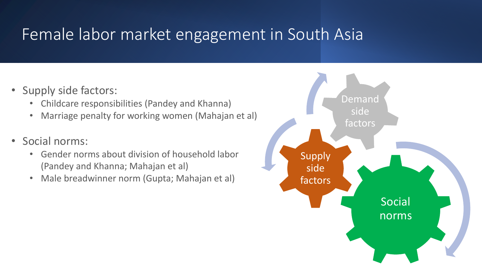- Supply side factors:
	- Childcare responsibilities (Pandey and Khanna)
	- Marriage penalty for working women (Mahajan et al)
- Social norms:
	- Gender norms about division of household labor (Pandey and Khanna; Mahajan et al)
	- Male breadwinner norm (Gupta; Mahajan et al)

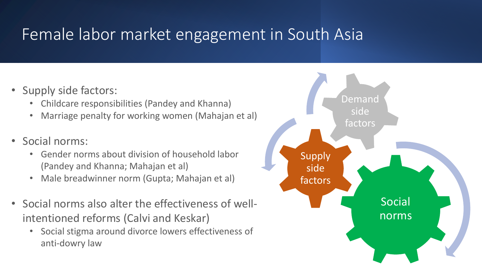- Supply side factors:
	- Childcare responsibilities (Pandey and Khanna)
	- Marriage penalty for working women (Mahajan et al)
- Social norms:
	- Gender norms about division of household labor (Pandey and Khanna; Mahajan et al)
	- Male breadwinner norm (Gupta; Mahajan et al)
- Social norms also alter the effectiveness of wellintentioned reforms (Calvi and Keskar)
	- Social stigma around divorce lowers effectiveness of anti-dowry law

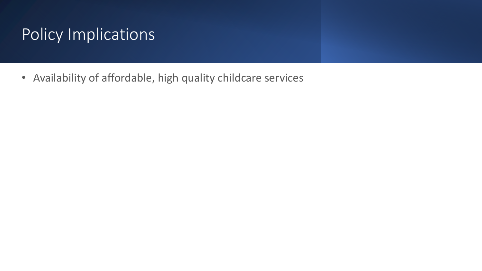• Availability of affordable, high quality childcare services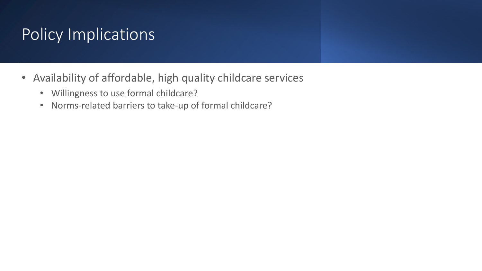- Availability of affordable, high quality childcare services
	- Willingness to use formal childcare?
	- Norms-related barriers to take-up of formal childcare?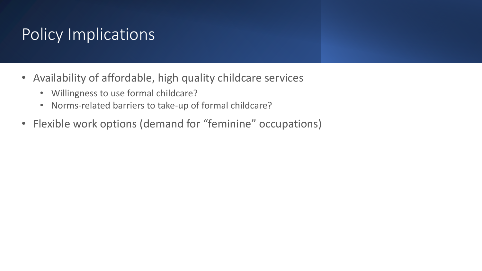- Availability of affordable, high quality childcare services
	- Willingness to use formal childcare?
	- Norms-related barriers to take-up of formal childcare?
- Flexible work options (demand for "feminine" occupations)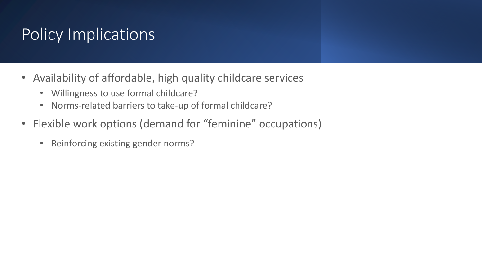- Availability of affordable, high quality childcare services
	- Willingness to use formal childcare?
	- Norms-related barriers to take-up of formal childcare?
- Flexible work options (demand for "feminine" occupations)
	- Reinforcing existing gender norms?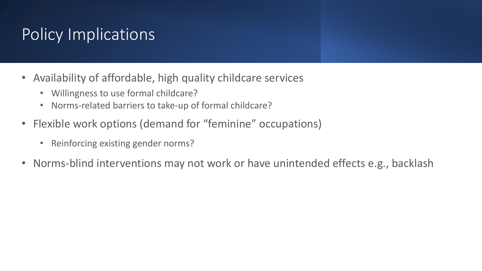- Availability of affordable, high quality childcare services
	- Willingness to use formal childcare?
	- Norms-related barriers to take-up of formal childcare?
- Flexible work options (demand for "feminine" occupations)
	- Reinforcing existing gender norms?
- Norms-blind interventions may not work or have unintended effects e.g., backlash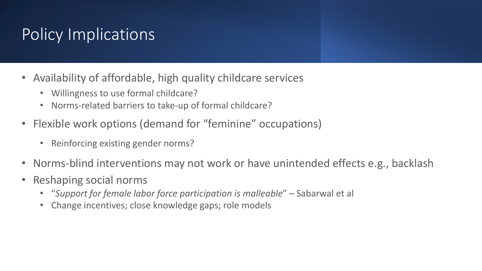- Availability of affordable, high quality childcare services
	- Willingness to use formal childcare?
	- Norms-related barriers to take-up of formal childcare?
- Flexible work options (demand for "feminine" occupations)
	- Reinforcing existing gender norms?
- Norms-blind interventions may not work or have unintended effects e.g., backlash
- Reshaping social norms
	- "*Support for female labor force participation is malleable*" Sabarwal et al
	- Change incentives; close knowledge gaps; role models